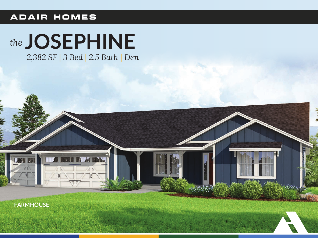### **ADAIR HOMES**

# the JOSEPHINE

2,382 SF | 3 Bed | 2.5 Bath | Den

**IF AS BRAN** 

 $\sqrt{4N}$ 

**FARMHOUSE** 



**A** and the